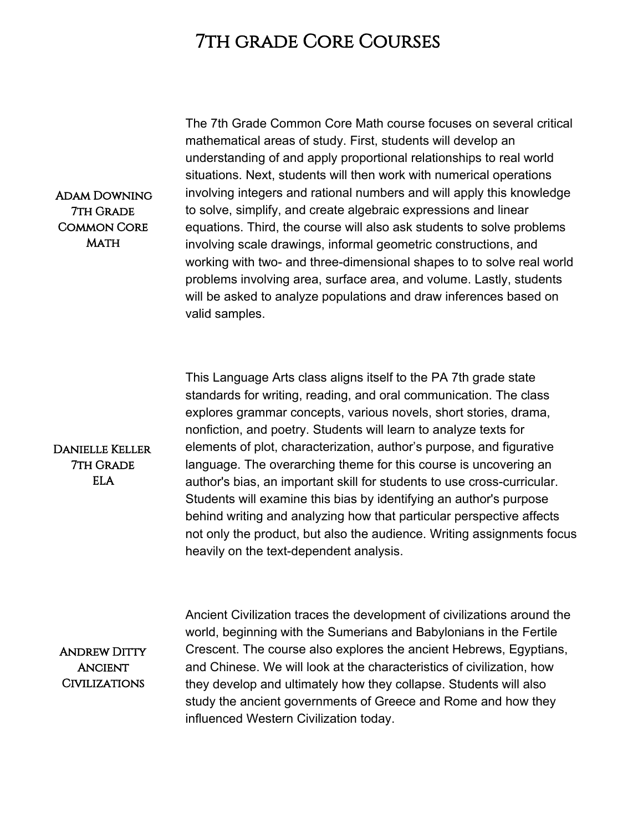## 7th grade Core Courses

The 7th Grade Common Core Math course focuses on several critical mathematical areas of study. First, students will develop an understanding of and apply proportional relationships to real world situations. Next, students will then work with numerical operations involving integers and rational numbers and will apply this knowledge to solve, simplify, and create algebraic expressions and linear equations. Third, the course will also ask students to solve problems involving scale drawings, informal geometric constructions, and working with two- and three-dimensional shapes to to solve real world problems involving area, surface area, and volume. Lastly, students will be asked to analyze populations and draw inferences based on valid samples.

This Language Arts class aligns itself to the PA 7th grade state standards for writing, reading, and oral communication. The class explores grammar concepts, various novels, short stories, drama, nonfiction, and poetry. Students will learn to analyze texts for elements of plot, characterization, author's purpose, and figurative language. The overarching theme for this course is uncovering an author's bias, an important skill for students to use cross-curricular. Students will examine this bias by identifying an author's purpose behind writing and analyzing how that particular perspective affects not only the product, but also the audience. Writing assignments focus heavily on the text-dependent analysis.

Andrew Ditty **ANCIENT** Civilizations

Danielle Keller 7th Grade ELA

> Ancient Civilization traces the development of civilizations around the world, beginning with the Sumerians and Babylonians in the Fertile Crescent. The course also explores the ancient Hebrews, Egyptians, and Chinese. We will look at the characteristics of civilization, how they develop and ultimately how they collapse. Students will also study the ancient governments of Greece and Rome and how they influenced Western Civilization today.

## Adam Downing 7th Grade Common Core **MATH**